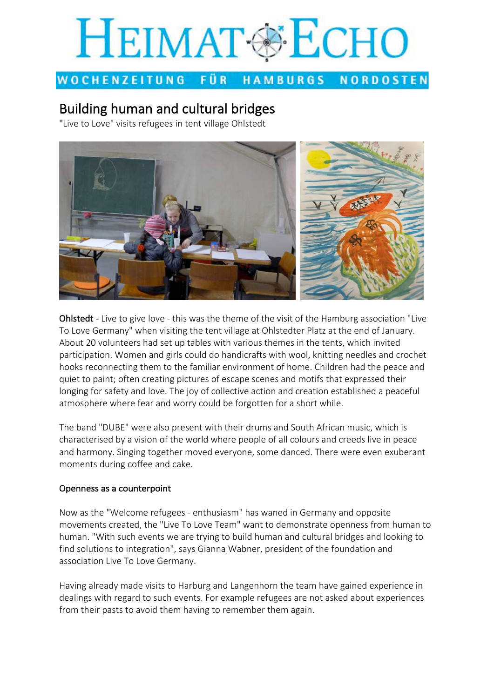# **HEIMAT @ ECHO**

#### WOCHENZEITUNG FÜR 1 HAMBURGS **NORDOSTEN**

# **Building human and cultural bridges**

"Live to Love" visits refugees in tent village Ohlstedt



Ohlstedt - Live to give love - this was the theme of the visit of the Hamburg association "Live To Love Germany" when visiting the tent village at Ohlstedter Platz at the end of January. About 20 volunteers had set up tables with various themes in the tents, which invited participation. Women and girls could do handicrafts with wool, knitting needles and crochet hooks reconnecting them to the familiar environment of home. Children had the peace and quiet to paint; often creating pictures of escape scenes and motifs that expressed their longing for safety and love. The joy of collective action and creation established a peaceful atmosphere where fear and worry could be forgotten for a short while.

The band "DUBE" were also present with their drums and South African music, which is characterised by a vision of the world where people of all colours and creeds live in peace and harmony. Singing together moved everyone, some danced. There were even exuberant moments during coffee and cake.

### Openness as a counterpoint

Now as the "Welcome refugees - enthusiasm" has waned in Germany and opposite movements created, the "Live To Love Team" want to demonstrate openness from human to human. "With such events we are trying to build human and cultural bridges and looking to find solutions to integration", says Gianna Wabner, president of the foundation and association Live To Love Germany.

Having already made visits to Harburg and Langenhorn the team have gained experience in dealings with regard to such events. For example refugees are not asked about experiences from their pasts to avoid them having to remember them again.